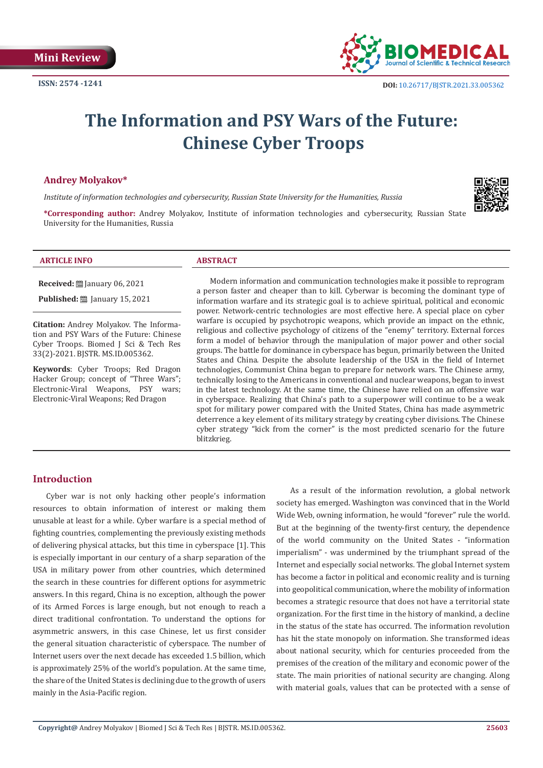

# **The Information and PSY Wars of the Future: Chinese Cyber Troops**

#### **Andrey Molyakov\***

*Institute of information technologies and cybersecurity, Russian State University for the Humanities, Russia*



**\*Corresponding author:** Andrey Molyakov, Institute of information technologies and cybersecurity, Russian State University for the Humanities, Russia

# **ARTICLE INFO ABSTRACT**

**Received:** January 06, 2021

**Published:** ■ January 15, 2021

**Citation:** Andrey Molyakov. The Information and PSY Wars of the Future: Chinese Cyber Troops. Biomed J Sci & Tech Res 33(2)-2021. BJSTR. MS.ID.005362.

**Keywords**: Cyber Troops; Red Dragon Hacker Group; concept of "Three Wars"; Electronic-Viral Weapons, PSY wars; Electronic-Viral Weapons; Red Dragon

Modern information and communication technologies make it possible to reprogram a person faster and cheaper than to kill. Cyberwar is becoming the dominant type of information warfare and its strategic goal is to achieve spiritual, political and economic power. Network-centric technologies are most effective here. A special place on cyber warfare is occupied by psychotropic weapons, which provide an impact on the ethnic, religious and collective psychology of citizens of the "enemy" territory. External forces form a model of behavior through the manipulation of major power and other social groups. The battle for dominance in cyberspace has begun, primarily between the United States and China. Despite the absolute leadership of the USA in the field of Internet technologies, Communist China began to prepare for network wars. The Chinese army, technically losing to the Americans in conventional and nuclear weapons, began to invest in the latest technology. At the same time, the Chinese have relied on an offensive war in cyberspace. Realizing that China's path to a superpower will continue to be a weak spot for military power compared with the United States, China has made asymmetric deterrence a key element of its military strategy by creating cyber divisions. The Chinese cyber strategy "kick from the corner" is the most predicted scenario for the future blitzkrieg.

# **Introduction**

Cyber war is not only hacking other people's information resources to obtain information of interest or making them unusable at least for a while. Cyber warfare is a special method of fighting countries, complementing the previously existing methods of delivering physical attacks, but this time in cyberspace [1]. This is especially important in our century of a sharp separation of the USA in military power from other countries, which determined the search in these countries for different options for asymmetric answers. In this regard, China is no exception, although the power of its Armed Forces is large enough, but not enough to reach a direct traditional confrontation. To understand the options for asymmetric answers, in this case Chinese, let us first consider the general situation characteristic of cyberspace. The number of Internet users over the next decade has exceeded 1.5 billion, which is approximately 25% of the world's population. At the same time, the share of the United States is declining due to the growth of users mainly in the Asia-Pacific region.

As a result of the information revolution, a global network society has emerged. Washington was convinced that in the World Wide Web, owning information, he would "forever" rule the world. But at the beginning of the twenty-first century, the dependence of the world community on the United States - "information imperialism" - was undermined by the triumphant spread of the Internet and especially social networks. The global Internet system has become a factor in political and economic reality and is turning into geopolitical communication, where the mobility of information becomes a strategic resource that does not have a territorial state organization. For the first time in the history of mankind, a decline in the status of the state has occurred. The information revolution has hit the state monopoly on information. She transformed ideas about national security, which for centuries proceeded from the premises of the creation of the military and economic power of the state. The main priorities of national security are changing. Along with material goals, values that can be protected with a sense of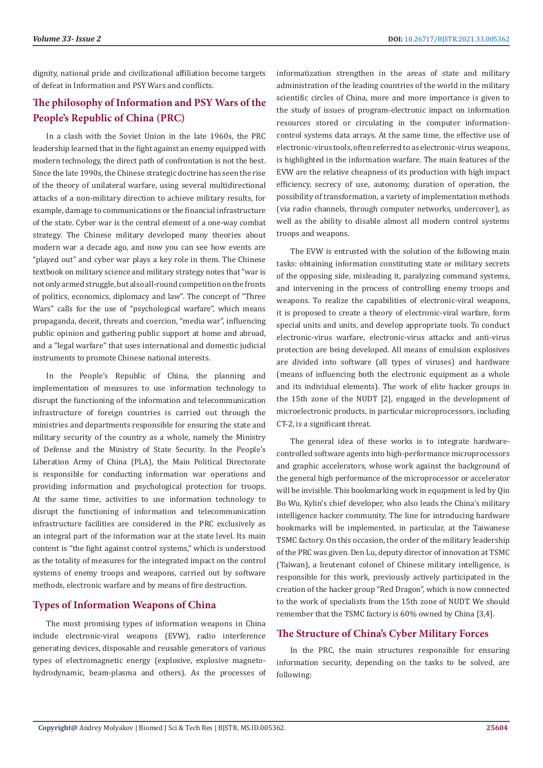dignity, national pride and civilizational affiliation become targets of defeat in Information and PSY Wars and conflicts.

# **The philosophy of Information and PSY Wars of the People's Republic of China (PRC)**

In a clash with the Soviet Union in the late 1960s, the PRC leadership learned that in the fight against an enemy equipped with modern technology, the direct path of confrontation is not the best. Since the late 1990s, the Chinese strategic doctrine has seen the rise of the theory of unilateral warfare, using several multidirectional attacks of a non-military direction to achieve military results, for example, damage to communications or the financial infrastructure of the state. Cyber war is the central element of a one-way combat strategy. The Chinese military developed many theories about modern war a decade ago, and now you can see how events are "played out" and cyber war plays a key role in them. The Chinese textbook on military science and military strategy notes that "war is not only armed struggle, but also all-round competition on the fronts of politics, economics, diplomacy and law". The concept of "Three Wars" calls for the use of "psychological warfare", which means propaganda, deceit, threats and coercion, "media war", influencing public opinion and gathering public support at home and abroad, and a "legal warfare" that uses international and domestic judicial instruments to promote Chinese national interests.

In the People's Republic of China, the planning and implementation of measures to use information technology to disrupt the functioning of the information and telecommunication infrastructure of foreign countries is carried out through the ministries and departments responsible for ensuring the state and military security of the country as a whole, namely the Ministry of Defense and the Ministry of State Security. In the People's Liberation Army of China (PLA), the Main Political Directorate is responsible for conducting information war operations and providing information and psychological protection for troops. At the same time, activities to use information technology to disrupt the functioning of information and telecommunication infrastructure facilities are considered in the PRC exclusively as an integral part of the information war at the state level. Its main content is "the fight against control systems," which is understood as the totality of measures for the integrated impact on the control systems of enemy troops and weapons, carried out by software methods, electronic warfare and by means of fire destruction.

# **Types of Information Weapons of China**

The most promising types of information weapons in China include electronic-viral weapons (EVW), radio interference generating devices, disposable and reusable generators of various types of electromagnetic energy (explosive, explosive magnetohydrodynamic, beam-plasma and others). As the processes of informatization strengthen in the areas of state and military administration of the leading countries of the world in the military scientific circles of China, more and more importance is given to the study of issues of program-electronic impact on information resources stored or circulating in the computer informationcontrol systems data arrays. At the same time, the effective use of electronic-virus tools, often referred to as electronic-virus weapons, is highlighted in the information warfare. The main features of the EVW are the relative cheapness of its production with high impact efficiency, secrecy of use, autonomy, duration of operation, the possibility of transformation, a variety of implementation methods (via radio channels, through computer networks, undercover), as well as the ability to disable almost all modern control systems troops and weapons.

The EVW is entrusted with the solution of the following main tasks: obtaining information constituting state or military secrets of the opposing side, misleading it, paralyzing command systems, and intervening in the process of controlling enemy troops and weapons. To realize the capabilities of electronic-viral weapons, it is proposed to create a theory of electronic-viral warfare, form special units and units, and develop appropriate tools. To conduct electronic-virus warfare, electronic-virus attacks and anti-virus protection are being developed. All means of emulsion explosives are divided into software (all types of viruses) and hardware (means of influencing both the electronic equipment as a whole and its individual elements). The work of elite hacker groups in the 15th zone of the NUDT [2], engaged in the development of microelectronic products, in particular microprocessors, including CT-2, is a significant threat.

The general idea of these works is to integrate hardwarecontrolled software agents into high-performance microprocessors and graphic accelerators, whose work against the background of the general high performance of the microprocessor or accelerator will be invisible. This bookmarking work in equipment is led by Qin Bo Wu, Kylin's chief developer, who also leads the China's military intelligence hacker community. The line for introducing hardware bookmarks will be implemented, in particular, at the Taiwanese TSMC factory. On this occasion, the order of the military leadership of the PRC was given. Den Lu, deputy director of innovation at TSMC (Taiwan), a lieutenant colonel of Chinese military intelligence, is responsible for this work, previously actively participated in the creation of the hacker group "Red Dragon", which is now connected to the work of specialists from the 15th zone of NUDT. We should remember that the TSMC factory is 60% owned by China [3,4].

# **The Structure of China's Cyber Military Forces**

In the PRC, the main structures responsible for ensuring information security, depending on the tasks to be solved, are following: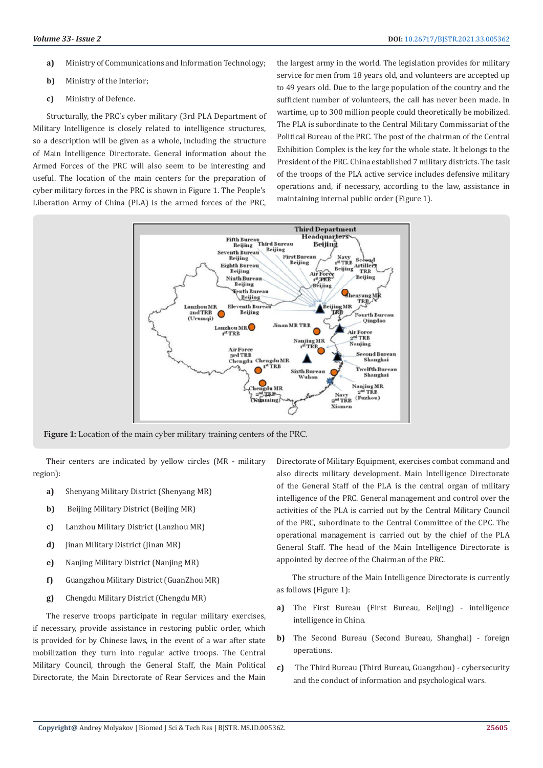- **a)** Ministry of Communications and Information Technology;
- **b)** Ministry of the Interior;
- **c)** Ministry of Defence.

Structurally, the PRC's cyber military (3rd PLA Department of Military Intelligence is closely related to intelligence structures, so a description will be given as a whole, including the structure of Main Intelligence Directorate. General information about the Armed Forces of the PRC will also seem to be interesting and useful. The location of the main centers for the preparation of cyber military forces in the PRC is shown in Figure 1. The People's Liberation Army of China (PLA) is the armed forces of the PRC, the largest army in the world. The legislation provides for military service for men from 18 years old, and volunteers are accepted up to 49 years old. Due to the large population of the country and the sufficient number of volunteers, the call has never been made. In wartime, up to 300 million people could theoretically be mobilized. The PLA is subordinate to the Central Military Commissariat of the Political Bureau of the PRC. The post of the chairman of the Central Exhibition Complex is the key for the whole state. It belongs to the President of the PRC. China established 7 military districts. The task of the troops of the PLA active service includes defensive military operations and, if necessary, according to the law, assistance in maintaining internal public order (Figure 1).



**Figure 1:** Location of the main cyber military training centers of the PRC.

Their centers are indicated by yellow circles (MR - military region):

- **a)** Shenyang Military District (Shenyang MR)
- **b)** Beijing Military District (Beiling MR)
- **c)** Lanzhou Military District (Lanzhou MR)
- **d)** Jinan Military District (Jinan MR)
- **e)** Nanjing Military District (Nanjing MR)
- **f)** Guangzhou Military District (GuanZhou MR)
- **g)** Chengdu Military District (Chengdu MR)

The reserve troops participate in regular military exercises, if necessary, provide assistance in restoring public order, which is provided for by Chinese laws, in the event of a war after state mobilization they turn into regular active troops. The Central Military Council, through the General Staff, the Main Political Directorate, the Main Directorate of Rear Services and the Main

Directorate of Military Equipment, exercises combat command and also directs military development. Main Intelligence Directorate of the General Staff of the PLA is the central organ of military intelligence of the PRC. General management and control over the activities of the PLA is carried out by the Central Military Council of the PRC, subordinate to the Central Committee of the CPC. The operational management is carried out by the chief of the PLA General Staff. The head of the Main Intelligence Directorate is appointed by decree of the Chairman of the PRC.

 The structure of the Main Intelligence Directorate is currently as follows (Figure 1):

- **a)** The First Bureau (First Bureau, Beijing) intelligence intelligence in China.
- **b)** The Second Bureau (Second Bureau, Shanghai) foreign operations.
- **c)** The Third Bureau (Third Bureau, Guangzhou) cybersecurity and the conduct of information and psychological wars.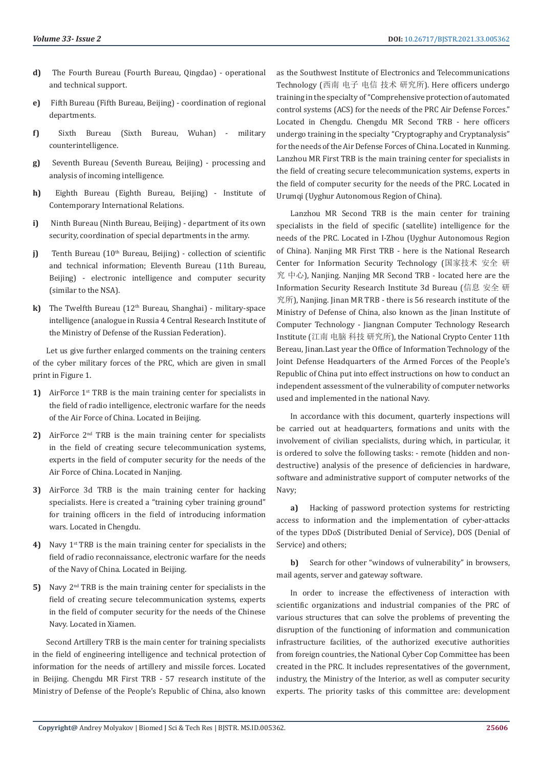- **d)** The Fourth Bureau (Fourth Bureau, Qingdao) operational and technical support.
- **e)** Fifth Bureau (Fifth Bureau, Beijing) coordination of regional departments.
- **f)** Sixth Bureau (Sixth Bureau, Wuhan) military counterintelligence.
- **g)** Seventh Bureau (Seventh Bureau, Beijing) processing and analysis of incoming intelligence.
- **h)** Eighth Bureau (Eighth Bureau, Beijing) Institute of Contemporary International Relations.
- **i)** Ninth Bureau (Ninth Bureau, Beijing) department of its own security, coordination of special departments in the army.
- **j)** Tenth Bureau (10<sup>th</sup> Bureau, Beijing) collection of scientific and technical information; Eleventh Bureau (11th Bureau, Beijing) - electronic intelligence and computer security (similar to the NSA).
- **k)** The Twelfth Bureau (12<sup>th</sup> Bureau, Shanghai) military-space intelligence (analogue in Russia 4 Central Research Institute of the Ministry of Defense of the Russian Federation).

Let us give further enlarged comments on the training centers of the cyber military forces of the PRC, which are given in small print in Figure 1.

- **1)** AirForce 1<sup>st</sup> TRB is the main training center for specialists in the field of radio intelligence, electronic warfare for the needs of the Air Force of China. Located in Beijing.
- **2)** AirForce 2nd TRB is the main training center for specialists in the field of creating secure telecommunication systems, experts in the field of computer security for the needs of the Air Force of China. Located in Nanjing.
- **3)** AirForce 3d TRB is the main training center for hacking specialists. Here is created a "training cyber training ground" for training officers in the field of introducing information wars. Located in Chengdu.
- **4)** Navy 1st TRB is the main training center for specialists in the field of radio reconnaissance, electronic warfare for the needs of the Navy of China. Located in Beijing.
- **5)** Navy 2nd TRB is the main training center for specialists in the field of creating secure telecommunication systems, experts in the field of computer security for the needs of the Chinese Navy. Located in Xiamen.

Second Artillery TRB is the main center for training specialists in the field of engineering intelligence and technical protection of information for the needs of artillery and missile forces. Located in Beijing. Chengdu MR First TRB - 57 research institute of the Ministry of Defense of the People's Republic of China, also known

as the Southwest Institute of Electronics and Telecommunications Technology (西南 电子 电信 技术 研究所). Here officers undergo training in the specialty of "Comprehensive protection of automated control systems (ACS) for the needs of the PRC Air Defense Forces." Located in Chengdu. Chengdu MR Second TRB - here officers undergo training in the specialty "Cryptography and Cryptanalysis" for the needs of the Air Defense Forces of China. Located in Kunming. Lanzhou MR First TRB is the main training center for specialists in the field of creating secure telecommunication systems, experts in the field of computer security for the needs of the PRC. Located in Urumqi (Uyghur Autonomous Region of China).

Lanzhou MR Second TRB is the main center for training specialists in the field of specific (satellite) intelligence for the needs of the PRC. Located in I-Zhou (Uyghur Autonomous Region of China). Nanjing MR First TRB - here is the National Research Center for Information Security Technology (国家技术 安全 研 究 中心), Nanjing. Nanjing MR Second TRB - located here are the Information Security Research Institute 3d Bureau (信息 安全 研 究所), Nanjing. Jinan MR TRB - there is 56 research institute of the Ministry of Defense of China, also known as the Jinan Institute of Computer Technology - Jiangnan Computer Technology Research Institute (江南 电脑 科技 研究所), the National Crypto Center 11th Bereau, Jinan.Last year the Office of Information Technology of the Joint Defense Headquarters of the Armed Forces of the People's Republic of China put into effect instructions on how to conduct an independent assessment of the vulnerability of computer networks used and implemented in the national Navy.

In accordance with this document, quarterly inspections will be carried out at headquarters, formations and units with the involvement of civilian specialists, during which, in particular, it is ordered to solve the following tasks: - remote (hidden and nondestructive) analysis of the presence of deficiencies in hardware, software and administrative support of computer networks of the Navy;

**a)** Hacking of password protection systems for restricting access to information and the implementation of cyber-attacks of the types DDoS (Distributed Denial of Service), DOS (Denial of Service) and others;

**b)** Search for other "windows of vulnerability" in browsers, mail agents, server and gateway software.

In order to increase the effectiveness of interaction with scientific organizations and industrial companies of the PRC of various structures that can solve the problems of preventing the disruption of the functioning of information and communication infrastructure facilities, of the authorized executive authorities from foreign countries, the National Cyber Cop Committee has been created in the PRC. It includes representatives of the government, industry, the Ministry of the Interior, as well as computer security experts. The priority tasks of this committee are: development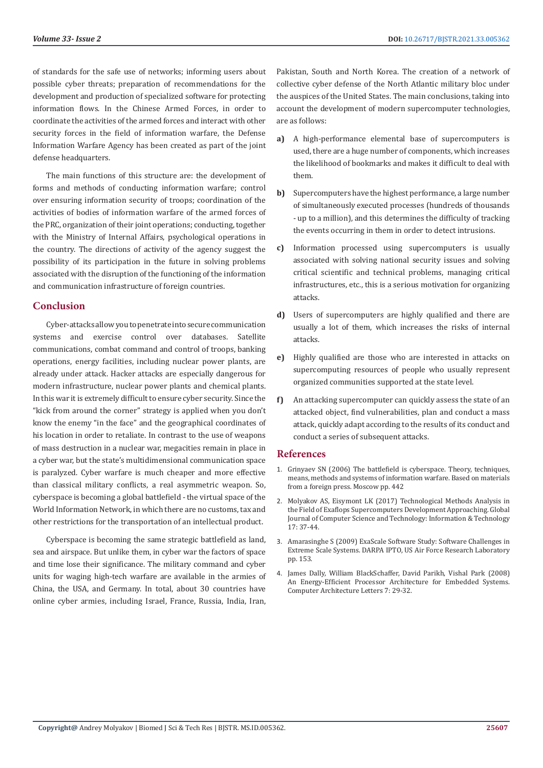of standards for the safe use of networks; informing users about possible cyber threats; preparation of recommendations for the development and production of specialized software for protecting information flows. In the Chinese Armed Forces, in order to coordinate the activities of the armed forces and interact with other security forces in the field of information warfare, the Defense Information Warfare Agency has been created as part of the joint defense headquarters.

The main functions of this structure are: the development of forms and methods of conducting information warfare; control over ensuring information security of troops; coordination of the activities of bodies of information warfare of the armed forces of the PRC, organization of their joint operations; conducting, together with the Ministry of Internal Affairs, psychological operations in the country. The directions of activity of the agency suggest the possibility of its participation in the future in solving problems associated with the disruption of the functioning of the information and communication infrastructure of foreign countries.

## **Conclusion**

Cyber-attacks allow you to penetrate into secure communication systems and exercise control over databases. Satellite communications, combat command and control of troops, banking operations, energy facilities, including nuclear power plants, are already under attack. Hacker attacks are especially dangerous for modern infrastructure, nuclear power plants and chemical plants. In this war it is extremely difficult to ensure cyber security. Since the "kick from around the corner" strategy is applied when you don't know the enemy "in the face" and the geographical coordinates of his location in order to retaliate. In contrast to the use of weapons of mass destruction in a nuclear war, megacities remain in place in a cyber war, but the state's multidimensional communication space is paralyzed. Cyber warfare is much cheaper and more effective than classical military conflicts, a real asymmetric weapon. So, cyberspace is becoming a global battlefield - the virtual space of the World Information Network, in which there are no customs, tax and other restrictions for the transportation of an intellectual product.

Cyberspace is becoming the same strategic battlefield as land, sea and airspace. But unlike them, in cyber war the factors of space and time lose their significance. The military command and cyber units for waging high-tech warfare are available in the armies of China, the USA, and Germany. In total, about 30 countries have online cyber armies, including Israel, France, Russia, India, Iran,

Pakistan, South and North Korea. The creation of a network of collective cyber defense of the North Atlantic military bloc under the auspices of the United States. The main conclusions, taking into account the development of modern supercomputer technologies, are as follows:

- **a)** A high-performance elemental base of supercomputers is used, there are a huge number of components, which increases the likelihood of bookmarks and makes it difficult to deal with them.
- **b)** Supercomputers have the highest performance, a large number of simultaneously executed processes (hundreds of thousands - up to a million), and this determines the difficulty of tracking the events occurring in them in order to detect intrusions.
- **c)** Information processed using supercomputers is usually associated with solving national security issues and solving critical scientific and technical problems, managing critical infrastructures, etc., this is a serious motivation for organizing attacks.
- **d)** Users of supercomputers are highly qualified and there are usually a lot of them, which increases the risks of internal attacks.
- **e)** Highly qualified are those who are interested in attacks on supercomputing resources of people who usually represent organized communities supported at the state level.
- **f)** An attacking supercomputer can quickly assess the state of an attacked object, find vulnerabilities, plan and conduct a mass attack, quickly adapt according to the results of its conduct and conduct a series of subsequent attacks.

#### **References**

- 1. Grinyaev SN (2006) The battlefield is cyberspace. Theory, techniques, means, methods and systems of information warfare. Based on materials from a foreign press. Moscow pp. 442
- 2. Molyakov AS, Eisymont LK (2017) Technological Methods Analysis in the Field of Exaflops Supercomputers Development Approaching. Global Journal of Computer Science and Technology: Information & Technology 17: 37-44.
- 3. Amarasinghe S (2009) ExaScale Software Study: Software Challenges in Extreme Scale Systems. DARPA IPTO, US Air Force Research Laboratory pp. 153.
- 4. [James Dally, William BlackSchaffer, David Parikh, Vishal Park \(2008\)](https://www.researchgate.net/publication/3455736_An_Energy-Efficient_Processor_Architecture_for_Embedded_Systems) [An Energy-Efficient Processor Architecture for Embedded Systems.](https://www.researchgate.net/publication/3455736_An_Energy-Efficient_Processor_Architecture_for_Embedded_Systems) [Computer Architecture Letters 7: 29-32.](https://www.researchgate.net/publication/3455736_An_Energy-Efficient_Processor_Architecture_for_Embedded_Systems)